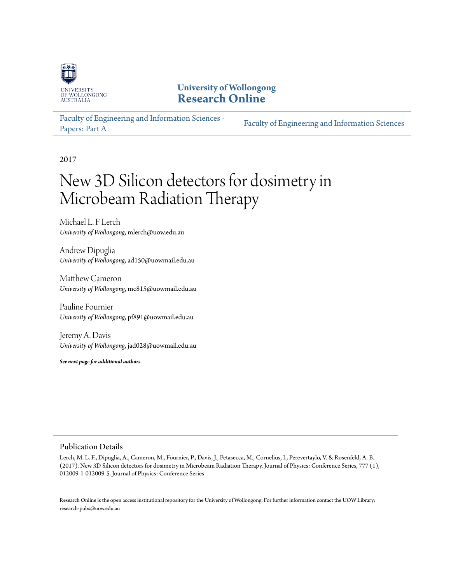

# **University of Wollongong [Research Online](http://ro.uow.edu.au)**

[Faculty of Engineering and Information Sciences -](http://ro.uow.edu.au/eispapers) [Papers: Part A](http://ro.uow.edu.au/eispapers) [Faculty of Engineering and Information Sciences](http://ro.uow.edu.au/eis)

2017

# New 3D Silicon detectors for dosimetry in Microbeam Radiation Therapy

Michael L. F Lerch *University of Wollongong*, mlerch@uow.edu.au

Andrew Dipuglia *University of Wollongong*, ad150@uowmail.edu.au

Matthew Cameron *University of Wollongong*, mc815@uowmail.edu.au

Pauline Fournier *University of Wollongong*, pf891@uowmail.edu.au

Jeremy A. Davis *University of Wollongong*, jad028@uowmail.edu.au

*See next page for additional authors*

### Publication Details

Lerch, M. L. F., Dipuglia, A., Cameron, M., Fournier, P., Davis, J., Petasecca, M., Cornelius, I., Perevertaylo, V. & Rosenfeld, A. B. (2017). New 3D Silicon detectors for dosimetry in Microbeam Radiation Therapy. Journal of Physics: Conference Series, 777 (1), 012009-1-012009-5. Journal of Physics: Conference Series

Research Online is the open access institutional repository for the University of Wollongong. For further information contact the UOW Library: research-pubs@uow.edu.au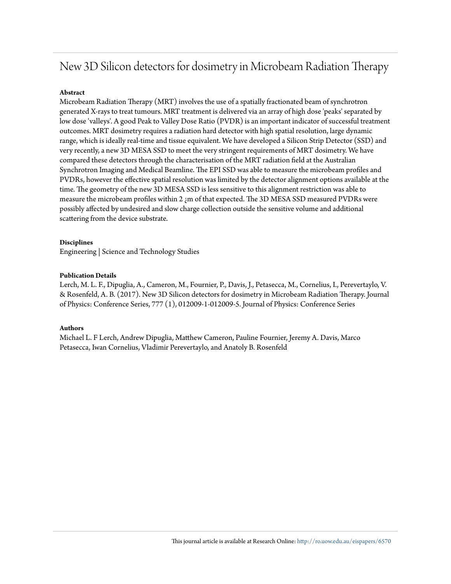# New 3D Silicon detectors for dosimetry in Microbeam Radiation Therapy

#### **Abstract**

Microbeam Radiation Therapy (MRT) involves the use of a spatially fractionated beam of synchrotron generated X-rays to treat tumours. MRT treatment is delivered via an array of high dose 'peaks' separated by low dose 'valleys'. A good Peak to Valley Dose Ratio (PVDR) is an important indicator of successful treatment outcomes. MRT dosimetry requires a radiation hard detector with high spatial resolution, large dynamic range, which is ideally real-time and tissue equivalent. We have developed a Silicon Strip Detector (SSD) and very recently, a new 3D MESA SSD to meet the very stringent requirements of MRT dosimetry. We have compared these detectors through the characterisation of the MRT radiation field at the Australian Synchrotron Imaging and Medical Beamline. The EPI SSD was able to measure the microbeam profiles and PVDRs, however the effective spatial resolution was limited by the detector alignment options available at the time. The geometry of the new 3D MESA SSD is less sensitive to this alignment restriction was able to measure the microbeam profiles within 2  $\mu$ m of that expected. The 3D MESA SSD measured PVDRs were possibly affected by undesired and slow charge collection outside the sensitive volume and additional scattering from the device substrate.

#### **Disciplines**

Engineering | Science and Technology Studies

#### **Publication Details**

Lerch, M. L. F., Dipuglia, A., Cameron, M., Fournier, P., Davis, J., Petasecca, M., Cornelius, I., Perevertaylo, V. & Rosenfeld, A. B. (2017). New 3D Silicon detectors for dosimetry in Microbeam Radiation Therapy. Journal of Physics: Conference Series, 777 (1), 012009-1-012009-5. Journal of Physics: Conference Series

#### **Authors**

Michael L. F Lerch, Andrew Dipuglia, Matthew Cameron, Pauline Fournier, Jeremy A. Davis, Marco Petasecca, Iwan Cornelius, Vladimir Perevertaylo, and Anatoly B. Rosenfeld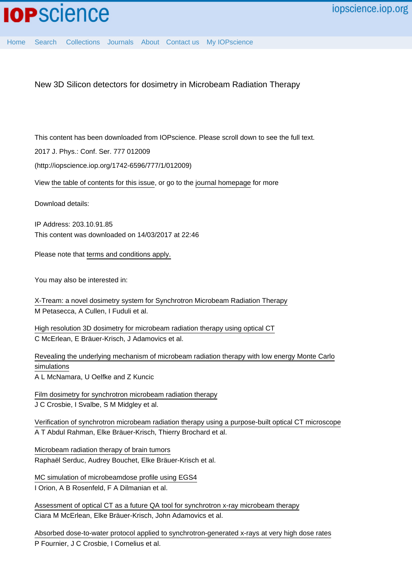New 3D Silicon detectors for dosimetry in Microbeam Radiation Therapy

This content has been downloaded from IOPscience. Please scroll down to see the full text.

2017 J. Phys.: Conf. Ser. 777 012009

(http://iopscience.iop.org/1742-6596/777/1/012009)

View [the table of contents for this issue](http://iopscience.iop.org/1742-6596/777/1), or go to the [journal homepage](http://iopscience.iop.org/1742-6596) for more

Download details:

IP Address: 203.10.91.85 This content was downloaded on 14/03/2017 at 22:46

Please note that [terms and conditions apply.](http://iopscience.iop.org/page/terms)

You may also be interested in:

[X-Tream: a novel dosimetry system for Synchrotron Microbeam Radiation Therapy](http://iopscience.iop.org/article/10.1088/1748-0221/7/07/P07022) M Petasecca, A Cullen, I Fuduli et al.

[High resolution 3D dosimetry for microbeam radiation therapy using optical CT](http://iopscience.iop.org/article/10.1088/1742-6596/573/1/012032) C McErlean, E Bräuer-Krisch, J Adamovics et al.

[Revealing the underlying mechanism of microbeam radiation therapy with low energy Monte Carlo](http://iopscience.iop.org/article/10.1088/1742-6596/489/1/012018) [simulations](http://iopscience.iop.org/article/10.1088/1742-6596/489/1/012018)

A L McNamara, U Oelfke and Z Kuncic

[Film dosimetry for synchrotron microbeam radiation therapy](http://iopscience.iop.org/article/10.1088/0031-9155/53/23/014) J C Crosbie, I Svalbe, S M Midgley et al.

[Verification of synchrotron microbeam radiation therapy using a purpose-built optical CT microscope](http://iopscience.iop.org/article/10.1088/1742-6596/250/1/012083) A T Abdul Rahman, Elke Bräuer-Krisch, Thierry Brochard et al.

[Microbeam radiation therapy of brain tumors](http://iopscience.iop.org/article/10.1088/0031-9155/54/21/017) Raphaël Serduc, Audrey Bouchet, Elke Bräuer-Krisch et al.

[MC simulation of microbeamdose profile using EGS4](http://iopscience.iop.org/article/10.1088/0031-9155/45/9/304) I Orion, A B Rosenfeld, F A Dilmanian et al.

[Assessment of optical CT as a future QA tool for synchrotron x-ray microbeam therapy](http://iopscience.iop.org/article/10.1088/0031-9155/61/1/320) Ciara M McErlean, Elke Bräuer-Krisch, John Adamovics et al.

[Absorbed dose-to-water protocol applied to synchrotron-generated x-rays at very high dose rates](http://iopscience.iop.org/article/10.1088/0031-9155/61/14/N349) P Fournier, J C Crosbie, I Cornelius et al.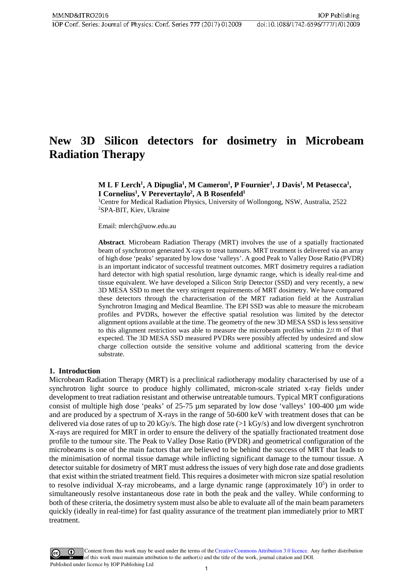# **New 3D Silicon detectors for dosimetry in Microbeam Radiation Therapy**

# **M** L F Lerch<sup>1</sup>, A Dipuglia<sup>1</sup>, M Cameron<sup>1</sup>, P Fournier<sup>1</sup>, J Davis<sup>1</sup>, M Petasecca<sup>1</sup>, **I Cornelius1 , V Perevertaylo2 , A B Rosenfeld1**

<sup>1</sup>Centre for Medical Radiation Physics, University of Wollongong, NSW, Australia, 2522 2 SPA-BIT, Kiev, Ukraine

Email: mlerch@uow.edu.au

**Abstract**. Microbeam Radiation Therapy (MRT) involves the use of a spatially fractionated beam of synchrotron generated X-rays to treat tumours. MRT treatment is delivered via an array of high dose 'peaks' separated by low dose 'valleys'. A good Peak to Valley Dose Ratio (PVDR) is an important indicator of successful treatment outcomes. MRT dosimetry requires a radiation hard detector with high spatial resolution, large dynamic range, which is ideally real-time and tissue equivalent. We have developed a Silicon Strip Detector (SSD) and very recently, a new 3D MESA SSD to meet the very stringent requirements of MRT dosimetry. We have compared these detectors through the characterisation of the MRT radiation field at the Australian Synchrotron Imaging and Medical Beamline. The EPI SSD was able to measure the microbeam profiles and PVDRs, however the effective spatial resolution was limited by the detector alignment options available at the time. The geometry of the new 3D MESA SSD is less sensitive to this alignment restriction was able to measure the microbeam profiles within  $2\mu$  m of that expected. The 3D MESA SSD measured PVDRs were possibly affected by undesired and slow charge collection outside the sensitive volume and additional scattering from the device substrate.

### **1. Introduction**

Microbeam Radiation Therapy (MRT) is a preclinical radiotherapy modality characterised by use of a synchrotron light source to produce highly collimated, micron-scale striated x-ray fields under development to treat radiation resistant and otherwise untreatable tumours. Typical MRT configurations consist of multiple high dose 'peaks' of 25-75 µm separated by low dose 'valleys' 100-400 µm wide and are produced by a spectrum of X-rays in the range of 50-600 keV with treatment doses that can be delivered via dose rates of up to 20 kGy/s. The high dose rate (>1 kGy/s) and low divergent synchrotron X-rays are required for MRT in order to ensure the delivery of the spatially fractionated treatment dose profile to the tumour site. The Peak to Valley Dose Ratio (PVDR) and geometrical configuration of the microbeams is one of the main factors that are believed to be behind the success of MRT that leads to the minimisation of normal tissue damage while inflicting significant damage to the tumour tissue. A detector suitable for dosimetry of MRT must address the issues of very high dose rate and dose gradients that exist within the striated treatment field. This requires a dosimeter with micron size spatial resolution to resolve individual X-ray microbeams, and a large dynamic range (approximately  $10<sup>5</sup>$ ) in order to simultaneously resolve instantaneous dose rate in both the peak and the valley. While conforming to both of these criteria, the dosimetry system must also be able to evaluate all of the main beam parameters quickly (ideally in real-time) for fast quality assurance of the treatment plan immediately prior to MRT treatment.

Content from this work may be used under the terms of the Creative Commons Attribution 3.0 licence. Any further distribution of this work must maintain attribution to the author(s) and the title of the work, journal citation and DOI. Published under licence by IOP Publishing Ltd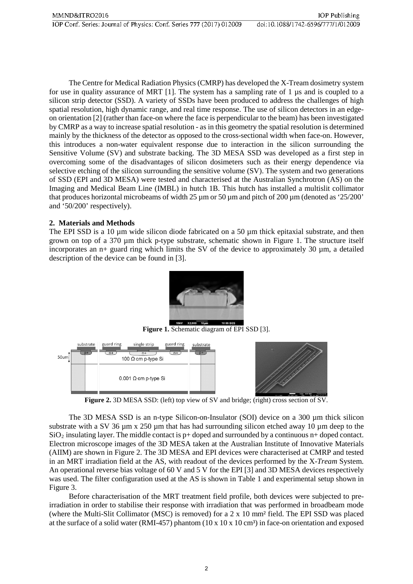The Centre for Medical Radiation Physics (CMRP) has developed the X-Tream dosimetry system for use in quality assurance of MRT  $[1]$ . The system has a sampling rate of 1  $\mu$ s and is coupled to a silicon strip detector (SSD). A variety of SSDs have been produced to address the challenges of high spatial resolution, high dynamic range, and real time response. The use of silicon detectors in an edgeon orientation [2] (rather than face-on where the face is perpendicular to the beam) has been investigated by CMRP as a way to increase spatial resolution - as in this geometry the spatial resolution is determined mainly by the thickness of the detector as opposed to the cross-sectional width when face-on. However, this introduces a non-water equivalent response due to interaction in the silicon surrounding the Sensitive Volume (SV) and substrate backing. The 3D MESA SSD was developed as a first step in overcoming some of the disadvantages of silicon dosimeters such as their energy dependence via selective etching of the silicon surrounding the sensitive volume (SV). The system and two generations of SSD (EPI and 3D MESA) were tested and characterised at the Australian Synchrotron (AS) on the Imaging and Medical Beam Line (IMBL) in hutch 1B. This hutch has installed a multislit collimator that produces horizontal microbeams of width 25  $\mu$ m or 50  $\mu$ m and pitch of 200  $\mu$ m (denoted as '25/200' and '50/200' respectively).

# **2. Materials and Methods**

The EPI SSD is a 10  $\mu$ m wide silicon diode fabricated on a 50  $\mu$ m thick epitaxial substrate, and then grown on top of a 370 µm thick p-type substrate, schematic shown in Figure 1. The structure itself incorporates an  $n+$  guard ring which limits the SV of the device to approximately 30  $\mu$ m, a detailed description of the device can be found in [3].



**Figure 1.** Schematic diagram of EPI SSD [3].



**Figure 2.** 3D MESA SSD: (left) top view of SV and bridge; (right) cross section of SV.

The 3D MESA SSD is an n-type Silicon-on-Insulator (SOI) device on a 300 µm thick silicon substrate with a SV 36  $\mu$ m x 250  $\mu$ m that has had surrounding silicon etched away 10  $\mu$ m deep to the  $SiO<sub>2</sub>$  insulating layer. The middle contact is p+ doped and surrounded by a continuous n+ doped contact. Electron microscope images of the 3D MESA taken at the Australian Institute of Innovative Materials (AIIM) are shown in Figure 2. The 3D MESA and EPI devices were characterised at CMRP and tested in an MRT irradiation field at the AS, with readout of the devices performed by the X-*Tream* System. An operational reverse bias voltage of 60 V and 5 V for the EPI [3] and 3D MESA devices respectively was used. The filter configuration used at the AS is shown in Table 1 and experimental setup shown in Figure 3.

Before characterisation of the MRT treatment field profile, both devices were subjected to preirradiation in order to stabilise their response with irradiation that was performed in broadbeam mode (where the Multi-Slit Collimator (MSC) is removed) for a 2 x 10 mm² field. The EPI SSD was placed at the surface of a solid water (RMI-457) phantom (10 x 10 x 10 cm<sup>3</sup>) in face-on orientation and exposed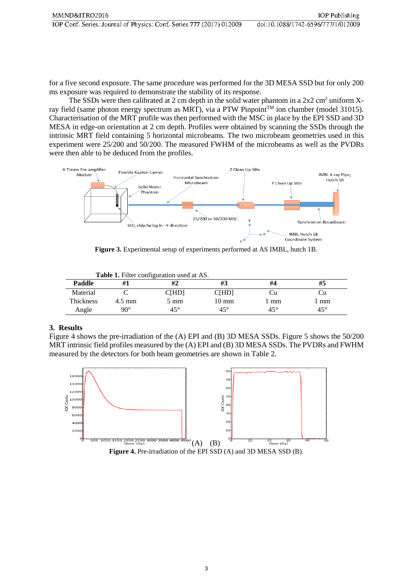for a five second exposure. The same procedure was performed for the 3D MESA SSD but for only 200 ms exposure was required to demonstrate the stability of its response.

The SSDs were then calibrated at 2 cm depth in the solid water phantom in a  $2x2 \text{ cm}^2$  uniform Xray field (same photon energy spectrum as MRT), via a PTW Pinpoint™ ion chamber (model 31015). Characterisation of the MRT profile was then performed with the MSC in place by the EPI SSD and 3D MESA in edge-on orientation at 2 cm depth. Profiles were obtained by scanning the SSDs through the intrinsic MRT field containing 5 horizontal microbeams. The two microbeam geometries used in this experiment were 25/200 and 50/200. The measured FWHM of the microbeams as well as the PVDRs were then able to be deduced from the profiles.



**Figure 3.** Experimental setup of experiments performed at AS IMBL, hutch 1B.

| <b>Table 1.</b> Filter configuration used at AS. |                  |                |                 |            |              |  |  |
|--------------------------------------------------|------------------|----------------|-----------------|------------|--------------|--|--|
| Paddle                                           | #1               |                | #3              | #4         | #5           |  |  |
| Material                                         |                  | C[HD]          | <b>C[HD]</b>    | . JI       |              |  |  |
| <b>Thickness</b>                                 | $4.5 \text{ mm}$ | $5 \text{ mm}$ | $10 \text{ mm}$ | 1 mm       | mm           |  |  |
| Angle                                            | $90^{\circ}$     | $45^{\circ}$   | $45^{\circ}$    | $45^\circ$ | $45^{\circ}$ |  |  |

# **3. Results**

Figure 4 shows the pre-irradiation of the (A) EPI and (B) 3D MESA SSDs. Figure 5 shows the 50/200 MRT intrinsic field profiles measured by the (A) EPI and (B) 3D MESA SSDs. The PVDRs and FWHM measured by the detectors for both beam geometries are shown in Table 2.



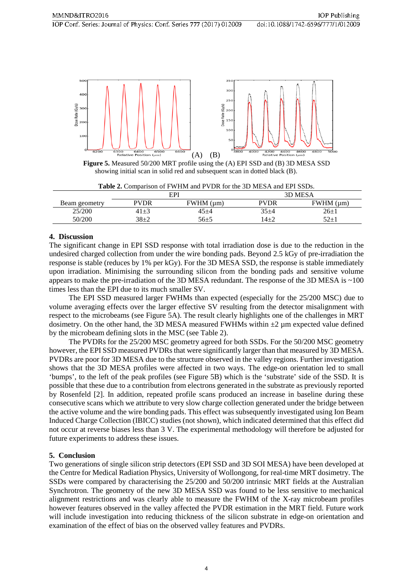

**Figure 5.** Measured 50/200 MRT profile using the (A) EPI SSD and (B) 3D MESA SSD showing initial scan in solid red and subsequent scan in dotted black (B).

| <b>Table 2.</b> Comparison of F WITH and F VDR for the 3D MESA and ETT SSDS. |             |                 |           |                   |  |  |  |
|------------------------------------------------------------------------------|-------------|-----------------|-----------|-------------------|--|--|--|
|                                                                              |             | EPI             | 3D MESA   |                   |  |  |  |
| Beam geometry                                                                | <b>PVDR</b> | $FWHM$ ( $µm$ ) | PVDR      | $FWHM$ ( $\mu$ m) |  |  |  |
| 25/200                                                                       | $41\pm3$    | $45 + 4$        | $35 + 4$  | 26+1              |  |  |  |
| 50/200                                                                       | 38+2        | $56 + 5$        | $(4 + 7)$ | $52+1$            |  |  |  |

**Table 2.** Comparison of FWHM and PVDR for the 3D MESA and EPI SSDs.

# **4. Discussion**

The significant change in EPI SSD response with total irradiation dose is due to the reduction in the undesired charged collection from under the wire bonding pads. Beyond 2.5 kGy of pre-irradiation the response is stable (reduces by 1% per kGy). For the 3D MESA SSD, the response is stable immediately upon irradiation. Minimising the surrounding silicon from the bonding pads and sensitive volume appears to make the pre-irradiation of the 3D MESA redundant. The response of the 3D MESA is ~100 times less than the EPI due to its much smaller SV.

The EPI SSD measured larger FWHMs than expected (especially for the 25/200 MSC) due to volume averaging effects over the larger effective SV resulting from the detector misalignment with respect to the microbeams (see Figure 5A). The result clearly highlights one of the challenges in MRT dosimetry. On the other hand, the 3D MESA measured FWHMs within  $\pm 2 \mu$ m expected value defined by the microbeam defining slots in the MSC (see Table 2).

The PVDRs for the 25/200 MSC geometry agreed for both SSDs. For the 50/200 MSC geometry however, the EPI SSD measured PVDRs that were significantly larger than that measured by 3D MESA. PVDRs are poor for 3D MESA due to the structure observed in the valley regions. Further investigation shows that the 3D MESA profiles were affected in two ways. The edge-on orientation led to small 'bumps', to the left of the peak profiles (see Figure 5B) which is the 'substrate' side of the SSD. It is possible that these due to a contribution from electrons generated in the substrate as previously reported by Rosenfeld [2]. In addition, repeated profile scans produced an increase in baseline during these consecutive scans which we attribute to very slow charge collection generated under the bridge between the active volume and the wire bonding pads. This effect was subsequently investigated using Ion Beam Induced Charge Collection (IBICC) studies (not shown), which indicated determined that this effect did not occur at reverse biases less than 3 V. The experimental methodology will therefore be adjusted for future experiments to address these issues.

# **5. Conclusion**

Two generations of single silicon strip detectors (EPI SSD and 3D SOI MESA) have been developed at the Centre for Medical Radiation Physics, University of Wollongong, for real-time MRT dosimetry. The SSDs were compared by characterising the 25/200 and 50/200 intrinsic MRT fields at the Australian Synchrotron. The geometry of the new 3D MESA SSD was found to be less sensitive to mechanical alignment restrictions and was clearly able to measure the FWHM of the X-ray microbeam profiles however features observed in the valley affected the PVDR estimation in the MRT field. Future work will include investigation into reducing thickness of the silicon substrate in edge-on orientation and examination of the effect of bias on the observed valley features and PVDRs.